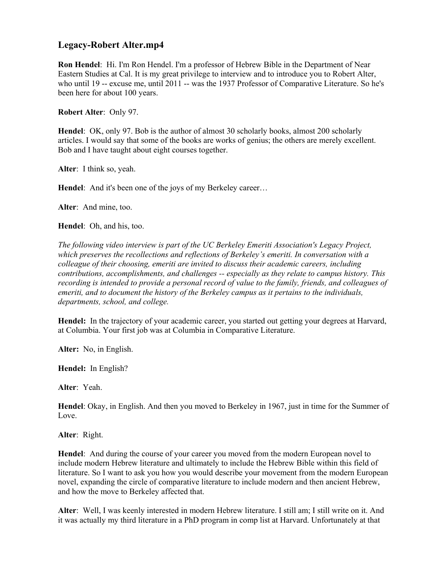# **Legacy-Robert Alter.mp4**

**Ron Hendel**: Hi. I'm Ron Hendel. I'm a professor of Hebrew Bible in the Department of Near Eastern Studies at Cal. It is my great privilege to interview and to introduce you to Robert Alter, who until 19 -- excuse me, until 2011 -- was the 1937 Professor of Comparative Literature. So he's been here for about 100 years.

**Robert Alter**: Only 97.

**Hendel**: OK, only 97. Bob is the author of almost 30 scholarly books, almost 200 scholarly articles. I would say that some of the books are works of genius; the others are merely excellent. Bob and I have taught about eight courses together.

**Alter**: I think so, yeah.

**Hendel**: And it's been one of the joys of my Berkeley career…

**Alter**: And mine, too.

**Hendel**: Oh, and his, too.

*The following video interview is part of the UC Berkeley Emeriti Association's Legacy Project, which preserves the recollections and reflections of Berkeley's emeriti. In conversation with a colleague of their choosing, emeriti are invited to discuss their academic careers, including contributions, accomplishments, and challenges -- especially as they relate to campus history. This recording is intended to provide a personal record of value to the family, friends, and colleagues of emeriti, and to document the history of the Berkeley campus as it pertains to the individuals, departments, school, and college.* 

**Hendel:** In the trajectory of your academic career, you started out getting your degrees at Harvard, at Columbia. Your first job was at Columbia in Comparative Literature.

**Alter:** No, in English.

**Hendel:** In English?

**Alter**: Yeah.

**Hendel**: Okay, in English. And then you moved to Berkeley in 1967, just in time for the Summer of Love.

**Alter**: Right.

**Hendel**: And during the course of your career you moved from the modern European novel to include modern Hebrew literature and ultimately to include the Hebrew Bible within this field of literature. So I want to ask you how you would describe your movement from the modern European novel, expanding the circle of comparative literature to include modern and then ancient Hebrew, and how the move to Berkeley affected that.

**Alter**: Well, I was keenly interested in modern Hebrew literature. I still am; I still write on it. And it was actually my third literature in a PhD program in comp list at Harvard. Unfortunately at that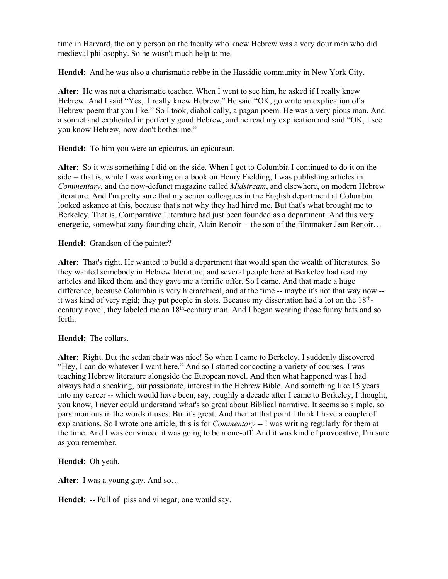time in Harvard, the only person on the faculty who knew Hebrew was a very dour man who did medieval philosophy. So he wasn't much help to me.

**Hendel**: And he was also a charismatic rebbe in the Hassidic community in New York City.

**Alter**: He was not a charismatic teacher. When I went to see him, he asked if I really knew Hebrew. And I said "Yes, I really knew Hebrew." He said "OK, go write an explication of a Hebrew poem that you like." So I took, diabolically, a pagan poem. He was a very pious man. And a sonnet and explicated in perfectly good Hebrew, and he read my explication and said "OK, I see you know Hebrew, now don't bother me."

**Hendel:** To him you were an epicurus, an epicurean.

**Alter**: So it was something I did on the side. When I got to Columbia I continued to do it on the side -- that is, while I was working on a book on Henry Fielding, I was publishing articles in *Commentary*, and the now-defunct magazine called *Midstream*, and elsewhere, on modern Hebrew literature. And I'm pretty sure that my senior colleagues in the English department at Columbia looked askance at this, because that's not why they had hired me. But that's what brought me to Berkeley. That is, Comparative Literature had just been founded as a department. And this very energetic, somewhat zany founding chair, Alain Renoir -- the son of the filmmaker Jean Renoir...

**Hendel**: Grandson of the painter?

**Alter**: That's right. He wanted to build a department that would span the wealth of literatures. So they wanted somebody in Hebrew literature, and several people here at Berkeley had read my articles and liked them and they gave me a terrific offer. So I came. And that made a huge difference, because Columbia is very hierarchical, and at the time -- maybe it's not that way now - it was kind of very rigid; they put people in slots. Because my dissertation had a lot on the 18thcentury novel, they labeled me an 18<sup>th</sup>-century man. And I began wearing those funny hats and so forth.

**Hendel**: The collars.

**Alter**: Right. But the sedan chair was nice! So when I came to Berkeley, I suddenly discovered "Hey, I can do whatever I want here." And so I started concocting a variety of courses. I was teaching Hebrew literature alongside the European novel. And then what happened was I had always had a sneaking, but passionate, interest in the Hebrew Bible. And something like 15 years into my career -- which would have been, say, roughly a decade after I came to Berkeley, I thought, you know, I never could understand what's so great about Biblical narrative. It seems so simple, so parsimonious in the words it uses. But it's great. And then at that point I think I have a couple of explanations. So I wrote one article; this is for *Commentary* -- I was writing regularly for them at the time. And I was convinced it was going to be a one-off. And it was kind of provocative, I'm sure as you remember.

**Hendel**: Oh yeah.

**Alter**: I was a young guy. And so…

**Hendel**: -- Full of piss and vinegar, one would say.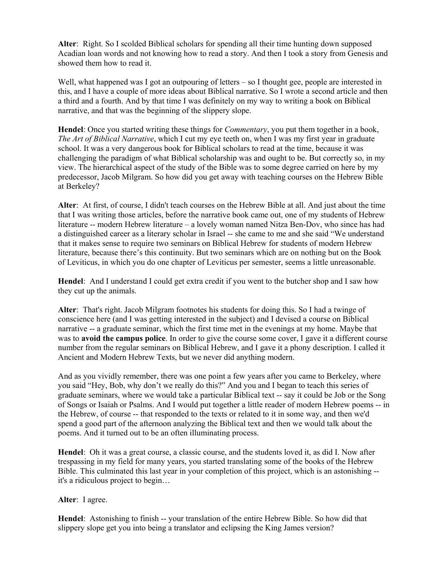**Alter**: Right. So I scolded Biblical scholars for spending all their time hunting down supposed Acadian loan words and not knowing how to read a story. And then I took a story from Genesis and showed them how to read it.

Well, what happened was I got an outpouring of letters – so I thought gee, people are interested in this, and I have a couple of more ideas about Biblical narrative. So I wrote a second article and then a third and a fourth. And by that time I was definitely on my way to writing a book on Biblical narrative, and that was the beginning of the slippery slope.

**Hendel**: Once you started writing these things for *Commentary*, you put them together in a book, *The Art of Biblical Narrative*, which I cut my eye teeth on, when I was my first year in graduate school. It was a very dangerous book for Biblical scholars to read at the time, because it was challenging the paradigm of what Biblical scholarship was and ought to be. But correctly so, in my view. The hierarchical aspect of the study of the Bible was to some degree carried on here by my predecessor, Jacob Milgram. So how did you get away with teaching courses on the Hebrew Bible at Berkeley?

**Alter**: At first, of course, I didn't teach courses on the Hebrew Bible at all. And just about the time that I was writing those articles, before the narrative book came out, one of my students of Hebrew literature -- modern Hebrew literature – a lovely woman named Nitza Ben-Dov, who since has had a distinguished career as a literary scholar in Israel -- she came to me and she said "We understand that it makes sense to require two seminars on Biblical Hebrew for students of modern Hebrew literature, because there's this continuity. But two seminars which are on nothing but on the Book of Leviticus, in which you do one chapter of Leviticus per semester, seems a little unreasonable.

**Hendel**: And I understand I could get extra credit if you went to the butcher shop and I saw how they cut up the animals.

**Alter**: That's right. Jacob Milgram footnotes his students for doing this. So I had a twinge of conscience here (and I was getting interested in the subject) and I devised a course on Biblical narrative -- a graduate seminar, which the first time met in the evenings at my home. Maybe that was to **avoid the campus police**. In order to give the course some cover, I gave it a different course number from the regular seminars on Biblical Hebrew, and I gave it a phony description. I called it Ancient and Modern Hebrew Texts, but we never did anything modern.

And as you vividly remember, there was one point a few years after you came to Berkeley, where you said "Hey, Bob, why don't we really do this?" And you and I began to teach this series of graduate seminars, where we would take a particular Biblical text -- say it could be Job or the Song of Songs or Isaiah or Psalms. And I would put together a little reader of modern Hebrew poems -- in the Hebrew, of course -- that responded to the texts or related to it in some way, and then we'd spend a good part of the afternoon analyzing the Biblical text and then we would talk about the poems. And it turned out to be an often illuminating process.

**Hendel**: Oh it was a great course, a classic course, and the students loved it, as did I. Now after trespassing in my field for many years, you started translating some of the books of the Hebrew Bible. This culminated this last year in your completion of this project, which is an astonishing - it's a ridiculous project to begin…

**Alter**: I agree.

**Hendel**: Astonishing to finish -- your translation of the entire Hebrew Bible. So how did that slippery slope get you into being a translator and eclipsing the King James version?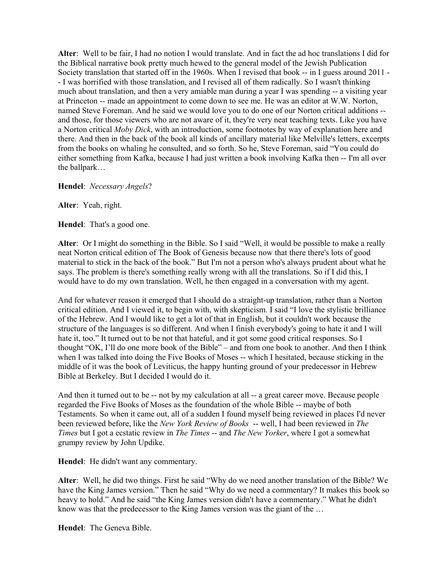**Alter**: Well to be fair, I had no notion I would translate. And in fact the ad hoc translations I did for the Biblical narrative book pretty much hewed to the general model of the Jewish Publication Society translation that started off in the 1960s. When I revised that book -- in I guess around 2011 - - I was horrified with those translation, and I revised all of them radically. So I wasn't thinking much about translation, and then a very amiable man during a year I was spending -- a visiting year at Princeton -- made an appointment to come down to see me. He was an editor at W.W. Norton, named Steve Foreman. And he said we would love you to do one of our Norton critical additions - and those, for those viewers who are not aware of it, they're very neat teaching texts. Like you have a Norton critical *Moby Dick*, with an introduction, some footnotes by way of explanation here and there. And then in the back of the book all kinds of ancillary material like Melville's letters, excerpts from the books on whaling he consulted, and so forth. So he, Steve Foreman, said "You could do either something from Kafka, because I had just written a book involving Kafka then -- I'm all over the ballpark…

**Hendel**: *Necessary Angels*?

**Alter**: Yeah, right.

**Hendel**: That's a good one.

**Alter**: Or I might do something in the Bible. So I said "Well, it would be possible to make a really neat Norton critical edition of The Book of Genesis because now that there there's lots of good material to stick in the back of the book." But I'm not a person who's always prudent about what he says. The problem is there's something really wrong with all the translations. So if I did this, I would have to do my own translation. Well, he then engaged in a conversation with my agent.

And for whatever reason it emerged that I should do a straight-up translation, rather than a Norton critical edition. And I viewed it, to begin with, with skepticism. I said "I love the stylistic brilliance of the Hebrew. And I would like to get a lot of that in English, but it couldn't work because the structure of the languages is so different. And when I finish everybody's going to hate it and I will hate it, too." It turned out to be not that hateful, and it got some good critical responses. So I thought "OK, I'll do one more book of the Bible" – and from one book to another. And then I think when I was talked into doing the Five Books of Moses -- which I hesitated, because sticking in the middle of it was the book of Leviticus, the happy hunting ground of your predecessor in Hebrew Bible at Berkeley. But I decided I would do it.

And then it turned out to be -- not by my calculation at all -- a great career move. Because people regarded the Five Books of Moses as the foundation of the whole Bible -- maybe of both Testaments. So when it came out, all of a sudden I found myself being reviewed in places I'd never been reviewed before, like the *New York Review of Books* -- well, I had been reviewed in *The Times* but I got a ecstatic review in *The Times* -- and *The New Yorker*, where I got a somewhat grumpy review by John Updike.

**Hendel**: He didn't want any commentary.

**Alter**: Well, he did two things. First he said "Why do we need another translation of the Bible? We have the King James version." Then he said "Why do we need a commentary? It makes this book so heavy to hold." And he said "the King James version didn't have a commentary." What he didn't know was that the predecessor to the King James version was the giant of the …

**Hendel**: The Geneva Bible.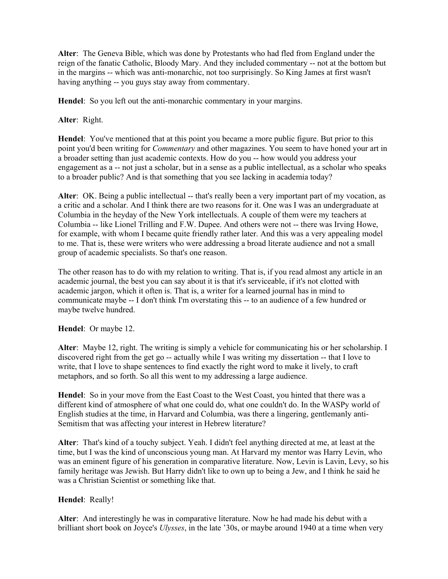**Alter**: The Geneva Bible, which was done by Protestants who had fled from England under the reign of the fanatic Catholic, Bloody Mary. And they included commentary -- not at the bottom but in the margins -- which was anti-monarchic, not too surprisingly. So King James at first wasn't having anything -- you guys stay away from commentary.

**Hendel**: So you left out the anti-monarchic commentary in your margins.

## **Alter**: Right.

**Hendel**: You've mentioned that at this point you became a more public figure. But prior to this point you'd been writing for *Commentary* and other magazines. You seem to have honed your art in a broader setting than just academic contexts. How do you -- how would you address your engagement as a -- not just a scholar, but in a sense as a public intellectual, as a scholar who speaks to a broader public? And is that something that you see lacking in academia today?

**Alter**: OK. Being a public intellectual -- that's really been a very important part of my vocation, as a critic and a scholar. And I think there are two reasons for it. One was I was an undergraduate at Columbia in the heyday of the New York intellectuals. A couple of them were my teachers at Columbia -- like Lionel Trilling and F.W. Dupee. And others were not -- there was Irving Howe, for example, with whom I became quite friendly rather later. And this was a very appealing model to me. That is, these were writers who were addressing a broad literate audience and not a small group of academic specialists. So that's one reason.

The other reason has to do with my relation to writing. That is, if you read almost any article in an academic journal, the best you can say about it is that it's serviceable, if it's not clotted with academic jargon, which it often is. That is, a writer for a learned journal has in mind to communicate maybe -- I don't think I'm overstating this -- to an audience of a few hundred or maybe twelve hundred.

### **Hendel**: Or maybe 12.

**Alter**: Maybe 12, right. The writing is simply a vehicle for communicating his or her scholarship. I discovered right from the get go -- actually while I was writing my dissertation -- that I love to write, that I love to shape sentences to find exactly the right word to make it lively, to craft metaphors, and so forth. So all this went to my addressing a large audience.

**Hendel**: So in your move from the East Coast to the West Coast, you hinted that there was a different kind of atmosphere of what one could do, what one couldn't do. In the WASPy world of English studies at the time, in Harvard and Columbia, was there a lingering, gentlemanly anti-Semitism that was affecting your interest in Hebrew literature?

**Alter**: That's kind of a touchy subject. Yeah. I didn't feel anything directed at me, at least at the time, but I was the kind of unconscious young man. At Harvard my mentor was Harry Levin, who was an eminent figure of his generation in comparative literature. Now, Levin is Lavin, Levy, so his family heritage was Jewish. But Harry didn't like to own up to being a Jew, and I think he said he was a Christian Scientist or something like that.

### **Hendel**: Really!

**Alter**: And interestingly he was in comparative literature. Now he had made his debut with a brilliant short book on Joyce's *Ulysses*, in the late '30s, or maybe around 1940 at a time when very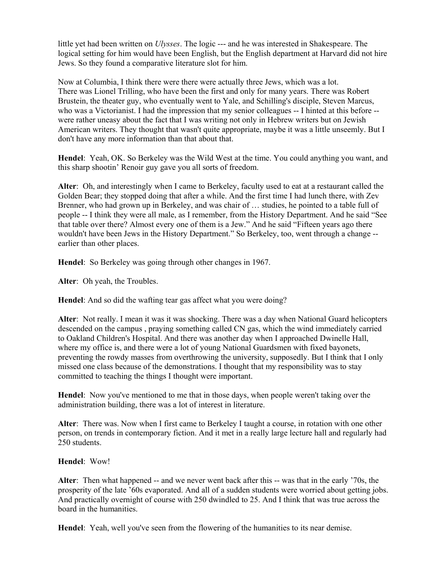little yet had been written on *Ulysses*. The logic --- and he was interested in Shakespeare. The logical setting for him would have been English, but the English department at Harvard did not hire Jews. So they found a comparative literature slot for him.

Now at Columbia, I think there were there were actually three Jews, which was a lot. There was Lionel Trilling, who have been the first and only for many years. There was Robert Brustein, the theater guy, who eventually went to Yale, and Schilling's disciple, Steven Marcus, who was a Victorianist. I had the impression that my senior colleagues -- I hinted at this before - were rather uneasy about the fact that I was writing not only in Hebrew writers but on Jewish American writers. They thought that wasn't quite appropriate, maybe it was a little unseemly. But I don't have any more information than that about that.

**Hendel**: Yeah, OK. So Berkeley was the Wild West at the time. You could anything you want, and this sharp shootin' Renoir guy gave you all sorts of freedom.

**Alter**: Oh, and interestingly when I came to Berkeley, faculty used to eat at a restaurant called the Golden Bear; they stopped doing that after a while. And the first time I had lunch there, with Zev Brenner, who had grown up in Berkeley, and was chair of … studies, he pointed to a table full of people -- I think they were all male, as I remember, from the History Department. And he said "See that table over there? Almost every one of them is a Jew." And he said "Fifteen years ago there wouldn't have been Jews in the History Department." So Berkeley, too, went through a change - earlier than other places.

**Hendel**: So Berkeley was going through other changes in 1967.

**Alter**: Oh yeah, the Troubles.

**Hendel**: And so did the wafting tear gas affect what you were doing?

**Alter**: Not really. I mean it was it was shocking. There was a day when National Guard helicopters descended on the campus , praying something called CN gas, which the wind immediately carried to Oakland Children's Hospital. And there was another day when I approached Dwinelle Hall, where my office is, and there were a lot of young National Guardsmen with fixed bayonets, preventing the rowdy masses from overthrowing the university, supposedly. But I think that I only missed one class because of the demonstrations. I thought that my responsibility was to stay committed to teaching the things I thought were important.

**Hendel**: Now you've mentioned to me that in those days, when people weren't taking over the administration building, there was a lot of interest in literature.

**Alter**: There was. Now when I first came to Berkeley I taught a course, in rotation with one other person, on trends in contemporary fiction. And it met in a really large lecture hall and regularly had 250 students.

#### **Hendel**: Wow!

**Alter**: Then what happened -- and we never went back after this -- was that in the early '70s, the prosperity of the late '60s evaporated. And all of a sudden students were worried about getting jobs. And practically overnight of course with 250 dwindled to 25. And I think that was true across the board in the humanities.

**Hendel**: Yeah, well you've seen from the flowering of the humanities to its near demise.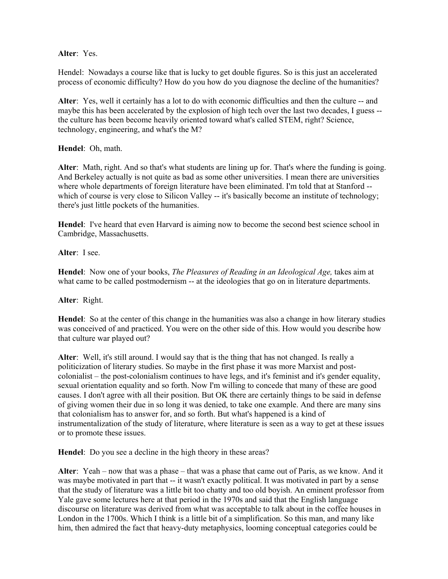### **Alter**: Yes.

Hendel: Nowadays a course like that is lucky to get double figures. So is this just an accelerated process of economic difficulty? How do you how do you diagnose the decline of the humanities?

**Alter**: Yes, well it certainly has a lot to do with economic difficulties and then the culture -- and maybe this has been accelerated by the explosion of high tech over the last two decades, I guess - the culture has been become heavily oriented toward what's called STEM, right? Science, technology, engineering, and what's the M?

**Hendel**: Oh, math.

**Alter**: Math, right. And so that's what students are lining up for. That's where the funding is going. And Berkeley actually is not quite as bad as some other universities. I mean there are universities where whole departments of foreign literature have been eliminated. I'm told that at Stanford - which of course is very close to Silicon Valley -- it's basically become an institute of technology; there's just little pockets of the humanities.

**Hendel**: I've heard that even Harvard is aiming now to become the second best science school in Cambridge, Massachusetts.

**Alter**: I see.

**Hendel**: Now one of your books, *The Pleasures of Reading in an Ideological Age,* takes aim at what came to be called postmodernism -- at the ideologies that go on in literature departments.

**Alter**: Right.

**Hendel**: So at the center of this change in the humanities was also a change in how literary studies was conceived of and practiced. You were on the other side of this. How would you describe how that culture war played out?

**Alter**: Well, it's still around. I would say that is the thing that has not changed. Is really a politicization of literary studies. So maybe in the first phase it was more Marxist and postcolonialist – the post-colonialism continues to have legs, and it's feminist and it's gender equality, sexual orientation equality and so forth. Now I'm willing to concede that many of these are good causes. I don't agree with all their position. But OK there are certainly things to be said in defense of giving women their due in so long it was denied, to take one example. And there are many sins that colonialism has to answer for, and so forth. But what's happened is a kind of instrumentalization of the study of literature, where literature is seen as a way to get at these issues or to promote these issues.

**Hendel**: Do you see a decline in the high theory in these areas?

**Alter**: Yeah – now that was a phase – that was a phase that came out of Paris, as we know. And it was maybe motivated in part that -- it wasn't exactly political. It was motivated in part by a sense that the study of literature was a little bit too chatty and too old boyish. An eminent professor from Yale gave some lectures here at that period in the 1970s and said that the English language discourse on literature was derived from what was acceptable to talk about in the coffee houses in London in the 1700s. Which I think is a little bit of a simplification. So this man, and many like him, then admired the fact that heavy-duty metaphysics, looming conceptual categories could be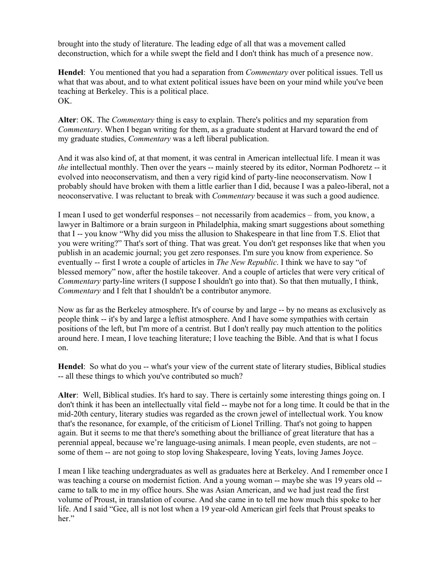brought into the study of literature. The leading edge of all that was a movement called deconstruction, which for a while swept the field and I don't think has much of a presence now.

**Hendel**: You mentioned that you had a separation from *Commentary* over political issues. Tell us what that was about, and to what extent political issues have been on your mind while you've been teaching at Berkeley. This is a political place. OK.

**Alter**: OK. The *Commentary* thing is easy to explain. There's politics and my separation from *Commentary*. When I began writing for them, as a graduate student at Harvard toward the end of my graduate studies, *Commentary* was a left liberal publication.

And it was also kind of, at that moment, it was central in American intellectual life. I mean it was *the* intellectual monthly. Then over the years -- mainly steered by its editor, Norman Podhoretz -- it evolved into neoconservatism, and then a very rigid kind of party-line neoconservatism. Now I probably should have broken with them a little earlier than I did, because I was a paleo-liberal, not a neoconservative. I was reluctant to break with *Commentary* because it was such a good audience.

I mean I used to get wonderful responses – not necessarily from academics – from, you know, a lawyer in Baltimore or a brain surgeon in Philadelphia, making smart suggestions about something that I -- you know "Why did you miss the allusion to Shakespeare in that line from T.S. Eliot that you were writing?" That's sort of thing. That was great. You don't get responses like that when you publish in an academic journal; you get zero responses. I'm sure you know from experience. So eventually -- first I wrote a couple of articles in *The New Republic*. I think we have to say "of blessed memory" now, after the hostile takeover. And a couple of articles that were very critical of *Commentary* party-line writers (I suppose I shouldn't go into that). So that then mutually, I think, *Commentary* and I felt that I shouldn't be a contributor anymore.

Now as far as the Berkeley atmosphere. It's of course by and large -- by no means as exclusively as people think -- it's by and large a leftist atmosphere. And I have some sympathies with certain positions of the left, but I'm more of a centrist. But I don't really pay much attention to the politics around here. I mean, I love teaching literature; I love teaching the Bible. And that is what I focus on.

**Hendel**: So what do you -- what's your view of the current state of literary studies, Biblical studies -- all these things to which you've contributed so much?

**Alter**: Well, Biblical studies. It's hard to say. There is certainly some interesting things going on. I don't think it has been an intellectually vital field -- maybe not for a long time. It could be that in the mid-20th century, literary studies was regarded as the crown jewel of intellectual work. You know that's the resonance, for example, of the criticism of Lionel Trilling. That's not going to happen again. But it seems to me that there's something about the brilliance of great literature that has a perennial appeal, because we're language-using animals. I mean people, even students, are not – some of them -- are not going to stop loving Shakespeare, loving Yeats, loving James Joyce.

I mean I like teaching undergraduates as well as graduates here at Berkeley. And I remember once I was teaching a course on modernist fiction. And a young woman -- maybe she was 19 years old - came to talk to me in my office hours. She was Asian American, and we had just read the first volume of Proust, in translation of course. And she came in to tell me how much this spoke to her life. And I said "Gee, all is not lost when a 19 year-old American girl feels that Proust speaks to her."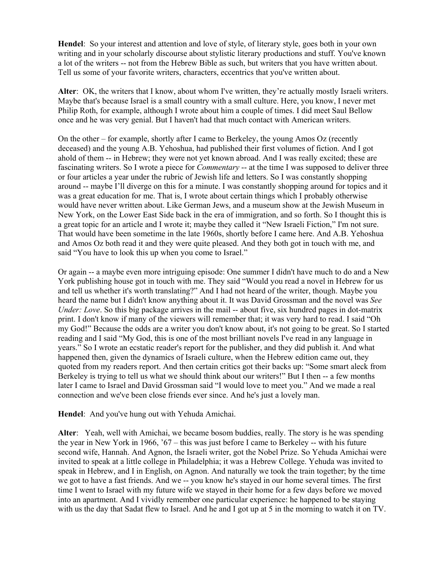**Hendel**: So your interest and attention and love of style, of literary style, goes both in your own writing and in your scholarly discourse about stylistic literary productions and stuff. You've known a lot of the writers -- not from the Hebrew Bible as such, but writers that you have written about. Tell us some of your favorite writers, characters, eccentrics that you've written about.

**Alter**: OK, the writers that I know, about whom I've written, they're actually mostly Israeli writers. Maybe that's because Israel is a small country with a small culture. Here, you know, I never met Philip Roth, for example, although I wrote about him a couple of times. I did meet Saul Bellow once and he was very genial. But I haven't had that much contact with American writers.

On the other – for example, shortly after I came to Berkeley, the young Amos Oz (recently deceased) and the young A.B. Yehoshua, had published their first volumes of fiction. And I got ahold of them -- in Hebrew; they were not yet known abroad. And I was really excited; these are fascinating writers. So I wrote a piece for *Commentary* -- at the time I was supposed to deliver three or four articles a year under the rubric of Jewish life and letters. So I was constantly shopping around -- maybe I'll diverge on this for a minute. I was constantly shopping around for topics and it was a great education for me. That is, I wrote about certain things which I probably otherwise would have never written about. Like German Jews, and a museum show at the Jewish Museum in New York, on the Lower East Side back in the era of immigration, and so forth. So I thought this is a great topic for an article and I wrote it; maybe they called it "New Israeli Fiction," I'm not sure. That would have been sometime in the late 1960s, shortly before I came here. And A.B. Yehoshua and Amos Oz both read it and they were quite pleased. And they both got in touch with me, and said "You have to look this up when you come to Israel."

Or again -- a maybe even more intriguing episode: One summer I didn't have much to do and a New York publishing house got in touch with me. They said "Would you read a novel in Hebrew for us and tell us whether it's worth translating?" And I had not heard of the writer, though. Maybe you heard the name but I didn't know anything about it. It was David Grossman and the novel was *See Under: Love*. So this big package arrives in the mail -- about five, six hundred pages in dot-matrix print. I don't know if many of the viewers will remember that; it was very hard to read. I said "Oh my God!" Because the odds are a writer you don't know about, it's not going to be great. So I started reading and I said "My God, this is one of the most brilliant novels I've read in any language in years." So I wrote an ecstatic reader's report for the publisher, and they did publish it. And what happened then, given the dynamics of Israeli culture, when the Hebrew edition came out, they quoted from my readers report. And then certain critics got their backs up: "Some smart aleck from Berkeley is trying to tell us what we should think about our writers!" But I then -- a few months later I came to Israel and David Grossman said "I would love to meet you." And we made a real connection and we've been close friends ever since. And he's just a lovely man.

### **Hendel**: And you've hung out with Yehuda Amichai.

**Alter**: Yeah, well with Amichai, we became bosom buddies, really. The story is he was spending the year in New York in 1966, '67 – this was just before I came to Berkeley -- with his future second wife, Hannah. And Agnon, the Israeli writer, got the Nobel Prize. So Yehuda Amichai were invited to speak at a little college in Philadelphia; it was a Hebrew College. Yehuda was invited to speak in Hebrew, and I in English, on Agnon. And naturally we took the train together; by the time we got to have a fast friends. And we -- you know he's stayed in our home several times. The first time I went to Israel with my future wife we stayed in their home for a few days before we moved into an apartment. And I vividly remember one particular experience: he happened to be staying with us the day that Sadat flew to Israel. And he and I got up at 5 in the morning to watch it on TV.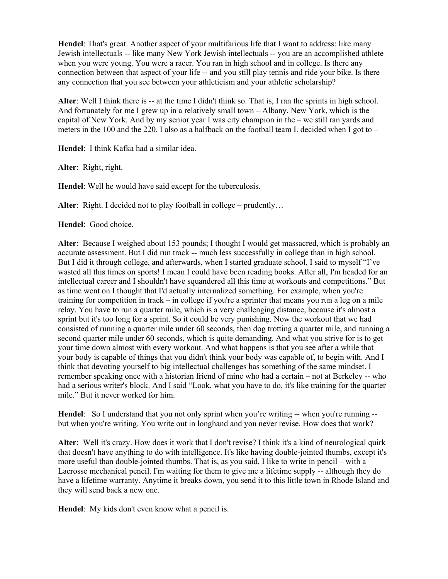**Hendel**: That's great. Another aspect of your multifarious life that I want to address: like many Jewish intellectuals -- like many New York Jewish intellectuals -- you are an accomplished athlete when you were young. You were a racer. You ran in high school and in college. Is there any connection between that aspect of your life -- and you still play tennis and ride your bike. Is there any connection that you see between your athleticism and your athletic scholarship?

**Alter**: Well I think there is -- at the time I didn't think so. That is, I ran the sprints in high school. And fortunately for me I grew up in a relatively small town – Albany, New York, which is the capital of New York. And by my senior year I was city champion in the – we still ran yards and meters in the 100 and the 220. I also as a halfback on the football team I. decided when I got to  $-$ 

**Hendel**: I think Kafka had a similar idea.

**Alter**: Right, right.

**Hendel**: Well he would have said except for the tuberculosis.

**Alter**: Right. I decided not to play football in college – prudently…

**Hendel**: Good choice.

**Alter**: Because I weighed about 153 pounds; I thought I would get massacred, which is probably an accurate assessment. But I did run track -- much less successfully in college than in high school. But I did it through college, and afterwards, when I started graduate school, I said to myself "I've wasted all this times on sports! I mean I could have been reading books. After all, I'm headed for an intellectual career and I shouldn't have squandered all this time at workouts and competitions." But as time went on I thought that I'd actually internalized something. For example, when you're training for competition in track – in college if you're a sprinter that means you run a leg on a mile relay. You have to run a quarter mile, which is a very challenging distance, because it's almost a sprint but it's too long for a sprint. So it could be very punishing. Now the workout that we had consisted of running a quarter mile under 60 seconds, then dog trotting a quarter mile, and running a second quarter mile under 60 seconds, which is quite demanding. And what you strive for is to get your time down almost with every workout. And what happens is that you see after a while that your body is capable of things that you didn't think your body was capable of, to begin with. And I think that devoting yourself to big intellectual challenges has something of the same mindset. I remember speaking once with a historian friend of mine who had a certain – not at Berkeley -- who had a serious writer's block. And I said "Look, what you have to do, it's like training for the quarter mile." But it never worked for him.

**Hendel**: So I understand that you not only sprint when you're writing -- when you're running - but when you're writing. You write out in longhand and you never revise. How does that work?

**Alter**: Well it's crazy. How does it work that I don't revise? I think it's a kind of neurological quirk that doesn't have anything to do with intelligence. It's like having double-jointed thumbs, except it's more useful than double-jointed thumbs. That is, as you said, I like to write in pencil – with a Lacrosse mechanical pencil. I'm waiting for them to give me a lifetime supply -- although they do have a lifetime warranty. Anytime it breaks down, you send it to this little town in Rhode Island and they will send back a new one.

**Hendel**: My kids don't even know what a pencil is.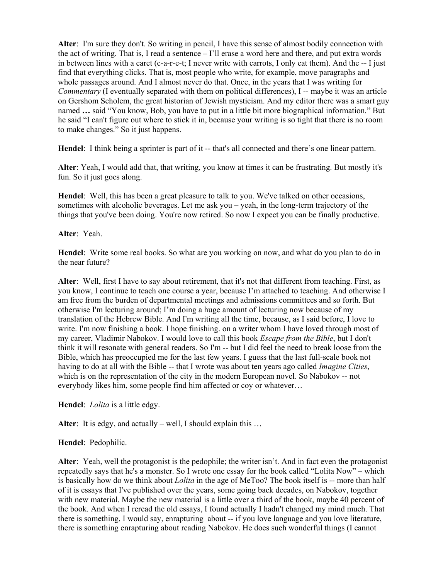**Alter**: I'm sure they don't. So writing in pencil, I have this sense of almost bodily connection with the act of writing. That is, I read a sentence – I'll erase a word here and there, and put extra words in between lines with a caret (c-a-r-e-t; I never write with carrots, I only eat them). And the -- I just find that everything clicks. That is, most people who write, for example, move paragraphs and whole passages around. And I almost never do that. Once, in the years that I was writing for *Commentary* (I eventually separated with them on political differences), I -- maybe it was an article on Gershom Scholem, the great historian of Jewish mysticism. And my editor there was a smart guy named **…** said "You know, Bob, you have to put in a little bit more biographical information." But he said "I can't figure out where to stick it in, because your writing is so tight that there is no room to make changes." So it just happens.

Hendel: I think being a sprinter is part of it -- that's all connected and there's one linear pattern.

**Alter**: Yeah, I would add that, that writing, you know at times it can be frustrating. But mostly it's fun. So it just goes along.

**Hendel**: Well, this has been a great pleasure to talk to you. We've talked on other occasions, sometimes with alcoholic beverages. Let me ask you – yeah, in the long-term trajectory of the things that you've been doing. You're now retired. So now I expect you can be finally productive.

### **Alter**: Yeah.

**Hendel**: Write some real books. So what are you working on now, and what do you plan to do in the near future?

**Alter**: Well, first I have to say about retirement, that it's not that different from teaching. First, as you know, I continue to teach one course a year, because I'm attached to teaching. And otherwise I am free from the burden of departmental meetings and admissions committees and so forth. But otherwise I'm lecturing around; I'm doing a huge amount of lecturing now because of my translation of the Hebrew Bible. And I'm writing all the time, because, as I said before, I love to write. I'm now finishing a book. I hope finishing. on a writer whom I have loved through most of my career, Vladimir Nabokov. I would love to call this book *Escape from the Bible*, but I don't think it will resonate with general readers. So I'm -- but I did feel the need to break loose from the Bible, which has preoccupied me for the last few years. I guess that the last full-scale book not having to do at all with the Bible -- that I wrote was about ten years ago called *Imagine Cities*, which is on the representation of the city in the modern European novel. So Nabokov -- not everybody likes him, some people find him affected or coy or whatever…

**Hendel**: *Lolita* is a little edgy.

**Alter**: It is edgy, and actually – well, I should explain this …

### **Hendel**: Pedophilic.

**Alter**: Yeah, well the protagonist is the pedophile; the writer isn't. And in fact even the protagonist repeatedly says that he's a monster. So I wrote one essay for the book called "Lolita Now" – which is basically how do we think about *Lolita* in the age of MeToo? The book itself is -- more than half of it is essays that I've published over the years, some going back decades, on Nabokov, together with new material. Maybe the new material is a little over a third of the book, maybe 40 percent of the book. And when I reread the old essays, I found actually I hadn't changed my mind much. That there is something, I would say, enrapturing about -- if you love language and you love literature, there is something enrapturing about reading Nabokov. He does such wonderful things (I cannot